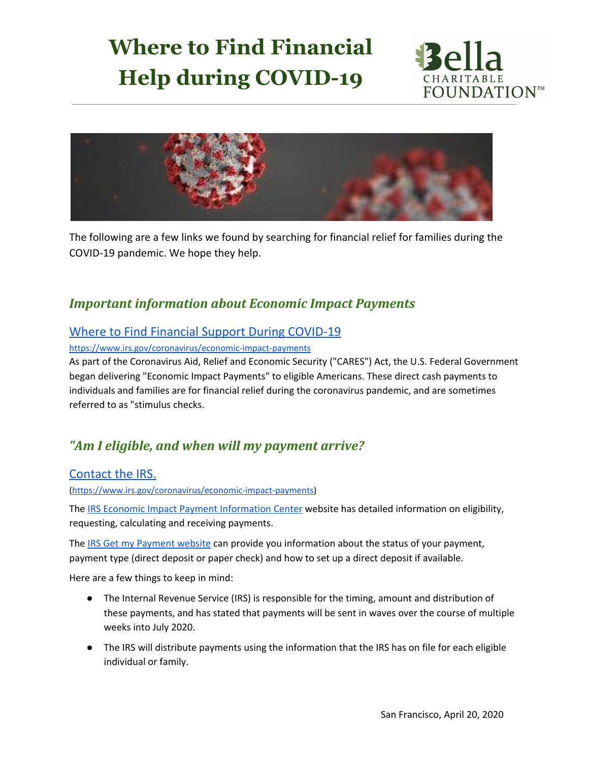# **Where to Find Financial Help during COVID-19**





The following are a few links we found by searching for financial relief for families during the COVID-19 pandemic. We hope they help.

### *Important information about Economic Impact Payments*

#### Where to Find Financial Support During [COVID-19](https://www.thesimpledollar.com/financial-wellness/coronavirus-financial-assistance/)

<https://www.irs.gov/coronavirus/economic-impact-payments>

As part of the Coronavirus Aid, Relief and Economic Security ("CARES") Act, the U.S. Federal Government began delivering "Economic Impact Payments" to eligible Americans. These direct cash payments to individuals and families are for financial relief during the coronavirus pandemic, and are sometimes referred to as "stimulus checks.

## *"Am I eligible, and when will my payment arrive?*

#### [Contact](https://www.irs.gov/coronavirus/economic-impact-payments) the IRS.

[\(https://www.irs.gov/coronavirus/economic-impact-payments](https://www.irs.gov/coronavirus/economic-impact-payments))

The IRS Economic Impact Payment [Information](https://www.irs.gov/coronavirus/economic-impact-payments) Center website has detailed information on eligibility, requesting, calculating and receiving payments.

The IRS Get my [Payment](https://www.irs.gov/coronavirus/get-my-payment) website can provide you information about the status of your payment, payment type (direct deposit or paper check) and how to set up a direct deposit if available.

Here are a few things to keep in mind:

- The Internal Revenue Service (IRS) is responsible for the timing, amount and distribution of these payments, and has stated that payments will be sent in waves over the course of multiple weeks into July 2020.
- The IRS will distribute payments using the information that the IRS has on file for each eligible individual or family.